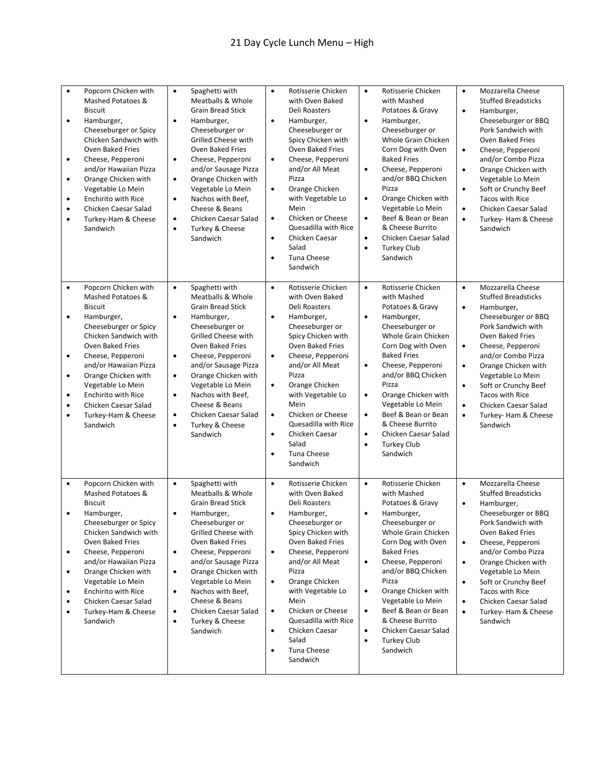| $\bullet$<br>$\bullet$<br>$\bullet$<br>$\bullet$<br>$\bullet$<br>$\bullet$<br>$\bullet$ | Popcorn Chicken with<br>Mashed Potatoes &<br><b>Biscuit</b><br>Hamburger,<br>Cheeseburger or Spicy<br>Chicken Sandwich with<br><b>Oven Baked Fries</b><br>Cheese, Pepperoni<br>and/or Hawaiian Pizza<br>Orange Chicken with<br>Vegetable Lo Mein<br><b>Enchirito with Rice</b><br>Chicken Caesar Salad<br>Turkey-Ham & Cheese<br>Sandwich | Spaghetti with<br>$\bullet$<br>Meatballs & Whole<br><b>Grain Bread Stick</b><br>$\bullet$<br>Hamburger,<br>Cheeseburger or<br><b>Grilled Cheese with</b><br><b>Oven Baked Fries</b><br>Cheese, Pepperoni<br>$\bullet$<br>and/or Sausage Pizza<br>Orange Chicken with<br>$\bullet$<br>Vegetable Lo Mein<br>Nachos with Beef,<br>$\bullet$<br>Cheese & Beans<br>Chicken Caesar Salad<br>$\bullet$<br>Turkey & Cheese<br>$\bullet$<br>Sandwich | $\bullet$<br>$\bullet$<br>$\bullet$<br>$\bullet$<br>$\bullet$<br>$\bullet$<br>$\bullet$ | Rotisserie Chicken<br>with Oven Baked<br>Deli Roasters<br>Hamburger,<br>Cheeseburger or<br>Spicy Chicken with<br><b>Oven Baked Fries</b><br>Cheese, Pepperoni<br>and/or All Meat<br>Pizza<br>Orange Chicken<br>with Vegetable Lo<br>Mein<br>Chicken or Cheese<br>Quesadilla with Rice<br>Chicken Caesar<br>Salad<br><b>Tuna Cheese</b><br>Sandwich | $\bullet$<br>$\bullet$<br>$\bullet$<br>$\bullet$<br>$\bullet$<br>$\bullet$<br>$\bullet$ | Rotisserie Chicken<br>with Mashed<br>Potatoes & Gravy<br>Hamburger,<br>Cheeseburger or<br>Whole Grain Chicken<br>Corn Dog with Oven<br><b>Baked Fries</b><br>Cheese, Pepperoni<br>and/or BBQ Chicken<br>Pizza<br>Orange Chicken with<br>Vegetable Lo Mein<br>Beef & Bean or Bean<br>& Cheese Burrito<br>Chicken Caesar Salad<br><b>Turkey Club</b><br>Sandwich | $\bullet$<br>$\bullet$<br>$\bullet$<br>$\bullet$<br>$\bullet$<br>$\bullet$<br>$\bullet$ | Mozzarella Cheese<br><b>Stuffed Breadsticks</b><br>Hamburger,<br>Cheeseburger or BBQ<br>Pork Sandwich with<br><b>Oven Baked Fries</b><br>Cheese, Pepperoni<br>and/or Combo Pizza<br>Orange Chicken with<br>Vegetable Lo Mein<br>Soft or Crunchy Beef<br><b>Tacos with Rice</b><br>Chicken Caesar Salad<br>Turkey- Ham & Cheese<br>Sandwich |
|-----------------------------------------------------------------------------------------|-------------------------------------------------------------------------------------------------------------------------------------------------------------------------------------------------------------------------------------------------------------------------------------------------------------------------------------------|---------------------------------------------------------------------------------------------------------------------------------------------------------------------------------------------------------------------------------------------------------------------------------------------------------------------------------------------------------------------------------------------------------------------------------------------|-----------------------------------------------------------------------------------------|----------------------------------------------------------------------------------------------------------------------------------------------------------------------------------------------------------------------------------------------------------------------------------------------------------------------------------------------------|-----------------------------------------------------------------------------------------|----------------------------------------------------------------------------------------------------------------------------------------------------------------------------------------------------------------------------------------------------------------------------------------------------------------------------------------------------------------|-----------------------------------------------------------------------------------------|--------------------------------------------------------------------------------------------------------------------------------------------------------------------------------------------------------------------------------------------------------------------------------------------------------------------------------------------|
| $\bullet$<br>$\bullet$<br>$\bullet$<br>$\bullet$<br>$\bullet$<br>$\bullet$<br>$\bullet$ | Popcorn Chicken with<br>Mashed Potatoes &<br><b>Biscuit</b><br>Hamburger,<br>Cheeseburger or Spicy<br>Chicken Sandwich with<br>Oven Baked Fries<br>Cheese, Pepperoni<br>and/or Hawaiian Pizza<br>Orange Chicken with<br>Vegetable Lo Mein<br><b>Enchirito with Rice</b><br>Chicken Caesar Salad<br>Turkey-Ham & Cheese<br>Sandwich        | $\bullet$<br>Spaghetti with<br>Meatballs & Whole<br><b>Grain Bread Stick</b><br>$\bullet$<br>Hamburger,<br>Cheeseburger or<br>Grilled Cheese with<br>Oven Baked Fries<br>Cheese, Pepperoni<br>$\bullet$<br>and/or Sausage Pizza<br>Orange Chicken with<br>$\bullet$<br>Vegetable Lo Mein<br>Nachos with Beef,<br>$\bullet$<br>Cheese & Beans<br>Chicken Caesar Salad<br>$\bullet$<br>Turkey & Cheese<br>$\bullet$<br>Sandwich               | $\bullet$<br>$\bullet$<br>$\bullet$<br>$\bullet$<br>$\bullet$<br>$\bullet$<br>$\bullet$ | Rotisserie Chicken<br>with Oven Baked<br><b>Deli Roasters</b><br>Hamburger,<br>Cheeseburger or<br>Spicy Chicken with<br>Oven Baked Fries<br>Cheese, Pepperoni<br>and/or All Meat<br>Pizza<br>Orange Chicken<br>with Vegetable Lo<br>Mein<br>Chicken or Cheese<br>Quesadilla with Rice<br>Chicken Caesar<br>Salad<br><b>Tuna Cheese</b><br>Sandwich | $\bullet$<br>$\bullet$<br>$\bullet$<br>$\bullet$<br>$\bullet$<br>$\bullet$<br>$\bullet$ | Rotisserie Chicken<br>with Mashed<br>Potatoes & Gravy<br>Hamburger,<br>Cheeseburger or<br>Whole Grain Chicken<br>Corn Dog with Oven<br><b>Baked Fries</b><br>Cheese, Pepperoni<br>and/or BBQ Chicken<br>Pizza<br>Orange Chicken with<br>Vegetable Lo Mein<br>Beef & Bean or Bean<br>& Cheese Burrito<br>Chicken Caesar Salad<br><b>Turkey Club</b><br>Sandwich | $\bullet$<br>$\bullet$<br>$\bullet$<br>$\bullet$<br>$\bullet$<br>$\bullet$<br>$\bullet$ | Mozzarella Cheese<br><b>Stuffed Breadsticks</b><br>Hamburger,<br>Cheeseburger or BBQ<br>Pork Sandwich with<br><b>Oven Baked Fries</b><br>Cheese, Pepperoni<br>and/or Combo Pizza<br>Orange Chicken with<br>Vegetable Lo Mein<br>Soft or Crunchy Beef<br><b>Tacos with Rice</b><br>Chicken Caesar Salad<br>Turkey- Ham & Cheese<br>Sandwich |
| $\bullet$<br>$\bullet$<br>$\bullet$<br>$\bullet$<br>$\bullet$<br>$\bullet$<br>$\bullet$ | Popcorn Chicken with<br>Mashed Potatoes &<br><b>Biscuit</b><br>Hamburger,<br>Cheeseburger or Spicy<br>Chicken Sandwich with<br>Oven Baked Fries<br>Cheese, Pepperoni<br>and/or Hawaiian Pizza<br>Orange Chicken with<br>Vegetable Lo Mein<br><b>Enchirito with Rice</b><br>Chicken Caesar Salad<br>Turkey-Ham & Cheese<br>Sandwich        | $\bullet$<br>Spaghetti with<br>Meatballs & Whole<br><b>Grain Bread Stick</b><br>Hamburger,<br>$\bullet$<br>Cheeseburger or<br>Grilled Cheese with<br>Oven Baked Fries<br>Cheese, Pepperoni<br>٠<br>and/or Sausage Pizza<br>Orange Chicken with<br>$\bullet$<br>Vegetable Lo Mein<br>Nachos with Beef,<br>٠<br>Cheese & Beans<br>Chicken Caesar Salad<br>$\bullet$<br>Turkey & Cheese<br>$\bullet$<br>Sandwich                               | $\bullet$<br>$\bullet$<br>$\bullet$<br>$\bullet$<br>$\bullet$<br>$\bullet$<br>$\bullet$ | Rotisserie Chicken<br>with Oven Baked<br><b>Deli Roasters</b><br>Hamburger,<br>Cheeseburger or<br>Spicy Chicken with<br>Oven Baked Fries<br>Cheese, Pepperoni<br>and/or All Meat<br>Pizza<br>Orange Chicken<br>with Vegetable Lo<br>Mein<br>Chicken or Cheese<br>Quesadilla with Rice<br>Chicken Caesar<br>Salad<br><b>Tuna Cheese</b><br>Sandwich | $\bullet$<br>$\bullet$<br>$\bullet$<br>٠<br>$\bullet$<br>٠<br>$\bullet$                 | Rotisserie Chicken<br>with Mashed<br>Potatoes & Gravy<br>Hamburger,<br>Cheeseburger or<br>Whole Grain Chicken<br>Corn Dog with Oven<br><b>Baked Fries</b><br>Cheese, Pepperoni<br>and/or BBQ Chicken<br>Pizza<br>Orange Chicken with<br>Vegetable Lo Mein<br>Beef & Bean or Bean<br>& Cheese Burrito<br>Chicken Caesar Salad<br><b>Turkey Club</b><br>Sandwich | $\bullet$<br>$\bullet$<br>$\bullet$<br>$\bullet$<br>$\bullet$<br>$\bullet$<br>$\bullet$ | Mozzarella Cheese<br><b>Stuffed Breadsticks</b><br>Hamburger,<br>Cheeseburger or BBQ<br>Pork Sandwich with<br>Oven Baked Fries<br>Cheese, Pepperoni<br>and/or Combo Pizza<br>Orange Chicken with<br>Vegetable Lo Mein<br>Soft or Crunchy Beef<br>Tacos with Rice<br>Chicken Caesar Salad<br>Turkey- Ham & Cheese<br>Sandwich               |